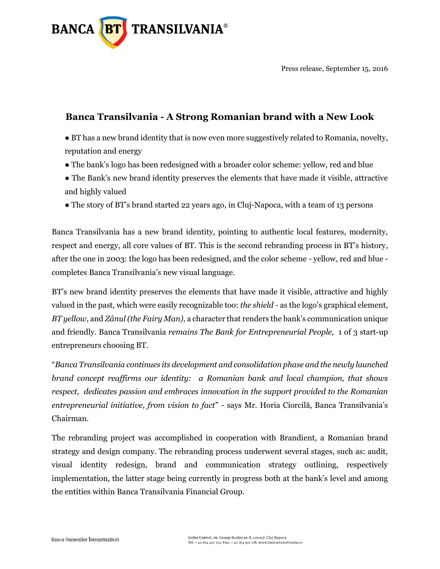

Press release, September 15, 2016

## **Banca Transilvania - A Strong Romanian brand with a New Look**

● BT has a new brand identity that is now even more suggestively related to Romania, novelty, reputation and energy

- The bank's logo has been redesigned with a broader color scheme: yellow, red and blue
- The Bank's new brand identity preserves the elements that have made it visible, attractive and highly valued
- The story of BT's brand started 22 years ago, in Cluj-Napoca, with a team of 13 persons

Banca Transilvania has a new brand identity, pointing to authentic local features, modernity, respect and energy, all core values of BT. This is the second rebranding process in BT's history, after the one in 2003: the logo has been redesigned, and the color scheme - yellow, red and blue completes Banca Transilvania's new visual language.

BT's new brand identity preserves the elements that have made it visible, attractive and highly valued in the past, which were easily recognizable too: *the shield* - as the logo's graphical element, *BT yellow,* and *Zânul (the Fairy Man),* a character that renders the bank's communication unique and friendly. Banca Transilvania *remains The Bank for Entrepreneurial People,* 1 of 3 start-up entrepreneurs choosing BT.

"*Banca Transilvania continues its development and consolidation phase and the newly launched brand concept reaffirms our identity: a Romanian bank and local champion, that shows respect, dedicates passion and embraces innovation in the support provided to the Romanian entrepreneurial initiative, from vision to fact*" - says Mr. Horia Ciorcilă, Banca Transilvania's Chairman.

The rebranding project was accomplished in cooperation with Brandient, a Romanian brand strategy and design company. The rebranding process underwent several stages, such as: audit, visual identity redesign, brand and communication strategy outlining, respectively implementation, the latter stage being currently in progress both at the bank's level and among the entities within Banca Transilvania Financial Group.